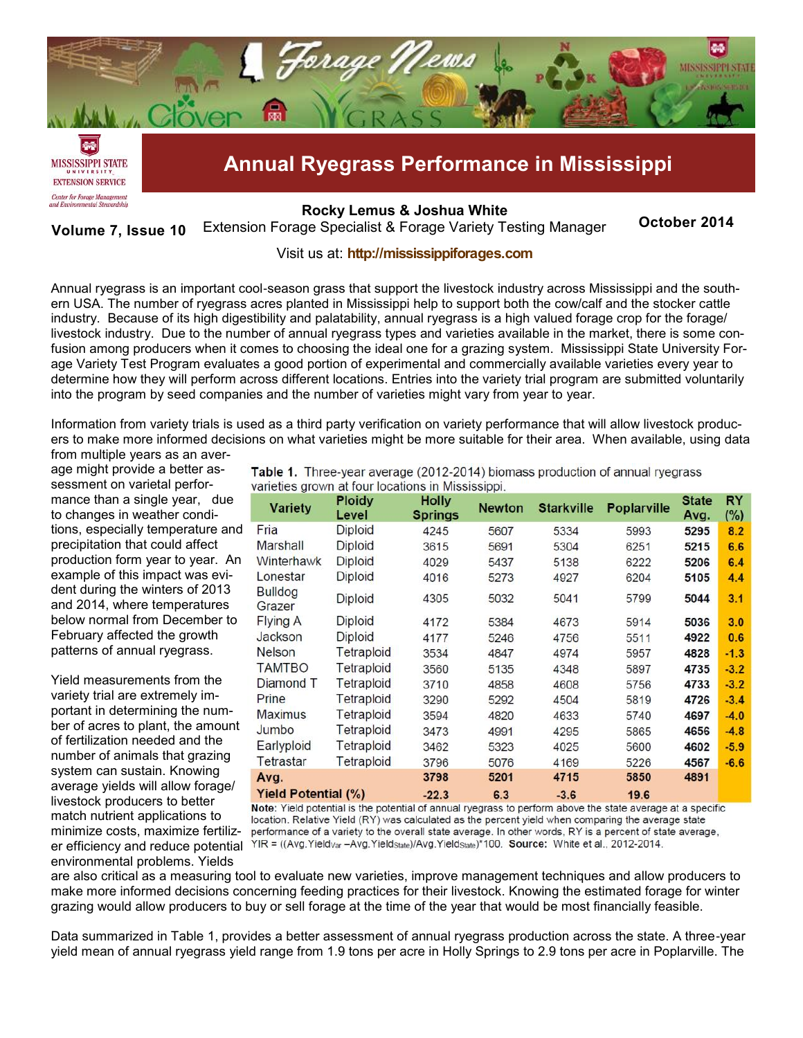

**[Rocky Lemus](mailto:RLemus@ext.msstate.edu?subject=Forage%20News:%20Janaury%202011) & Joshua White**

**October 2014 Volume 7, Issue 10** Extension Forage Specialist & Forage Variety Testing Manager

## Visit us at: **<http://mississippiforages.com>**

Annual ryegrass is an important cool-season grass that support the livestock industry across Mississippi and the southern USA. The number of ryegrass acres planted in Mississippi help to support both the cow/calf and the stocker cattle industry. Because of its high digestibility and palatability, annual ryegrass is a high valued forage crop for the forage/ livestock industry. Due to the number of annual ryegrass types and varieties available in the market, there is some confusion among producers when it comes to choosing the ideal one for a grazing system. Mississippi State University Forage Variety Test Program evaluates a good portion of experimental and commercially available varieties every year to determine how they will perform across different locations. Entries into the variety trial program are submitted voluntarily into the program by seed companies and the number of varieties might vary from year to year.

Information from variety trials is used as a third party verification on variety performance that will allow livestock producers to make more informed decisions on what varieties might be more suitable for their area. When available, using data

from multiple years as an average might provide a better assessment on varietal performance than a single year, due to changes in weather conditions, especially temperature and precipitation that could affect production form year to year. An example of this impact was evident during the winters of 2013 and 2014, where temperatures below normal from December to February affected the growth patterns of annual ryegrass.

Yield measurements from the variety trial are extremely important in determining the number of acres to plant, the amount of fertilization needed and the number of animals that grazing system can sustain. Knowing average yields will allow forage/ livestock producers to better match nutrient applications to minimize costs, maximize fertilizenvironmental problems. Yields

Table 1. Three-year average (2012-2014) biomass production of annual ryegrass varieties grown at four locations in Mississippi.

| <b>Variety</b>             | <b>Ploidy</b><br>Level | <b>Holly</b><br><b>Springs</b> | <b>Newton</b> | <b>Starkville</b> | <b>Poplarville</b> | <b>State</b><br>Avg. | RY<br>$(\%)$ |
|----------------------------|------------------------|--------------------------------|---------------|-------------------|--------------------|----------------------|--------------|
| Fria                       | Diploid                | 4245                           | 5607          | 5334              | 5993               | 5295                 | 8.2          |
| Marshall                   | Diploid                | 3615                           | 5691          | 5304              | 6251               | 5215                 | 6.6          |
| Winterhawk                 | <b>Diploid</b>         | 4029                           | 5437          | 5138              | 6222               | 5206                 | 6.4          |
| Lonestar                   | Diploid                | 4016                           | 5273          | 4927              | 6204               | 5105                 | 4.4          |
| <b>Bulldog</b><br>Grazer   | Diploid                | 4305                           | 5032          | 5041              | 5799               | 5044                 | 3.1          |
| Flying A                   | <b>Diploid</b>         | 4172                           | 5384          | 4673              | 5914               | 5036                 | 3.0          |
| Jackson                    | Diploid                | 4177                           | 5246          | 4756              | 5511               | 4922                 | 0.6          |
| <b>Nelson</b>              | Tetraploid             | 3534                           | 4847          | 4974              | 5957               | 4828                 | $-1.3$       |
| <b>TAMTBO</b>              | Tetraploid             | 3560                           | 5135          | 4348              | 5897               | 4735                 | $-3.2$       |
| Diamond T                  | Tetraploid             | 3710                           | 4858          | 4608              | 5756               | 4733                 | $-3.2$       |
| Prine                      | Tetraploid             | 3290                           | 5292          | 4504              | 5819               | 4726                 | $-3.4$       |
| <b>Maximus</b>             | Tetraploid             | 3594                           | 4820          | 4633              | 5740               | 4697                 | $-4.0$       |
| Jumbo                      | <b>Tetraploid</b>      | 3473                           | 4991          | 4295              | 5865               | 4656                 | $-4.8$       |
| Earlyploid                 | Tetraploid             | 3462                           | 5323          | 4025              | 5600               | 4602                 | $-5.9$       |
| Tetrastar                  | Tetraploid             | 3796                           | 5076          | 4169              | 5226               | 4567                 | $-6.6$       |
| Avg.                       |                        | 3798                           | 5201          | 4715              | 5850               | 4891                 |              |
| <b>Yield Potential (%)</b> |                        | $-22.3$                        | 6.3           | $-3.6$            | 19.6               |                      |              |

Note: Yield potential is the potential of annual ryegrass to perform above the state average at a specific location. Relative Yield (RY) was calculated as the percent yield when comparing the average state performance of a variety to the overall state average. In other words, RY is a percent of state average, er efficiency and reduce potential YIR = ((Avg.Yield<sub>var</sub>-Avg.Yield<sub>State</sub>)/Avg.Yield<sub>State</sub>)\*100. Source: White et al., 2012-2014.

are also critical as a measuring tool to evaluate new varieties, improve management techniques and allow producers to make more informed decisions concerning feeding practices for their livestock. Knowing the estimated forage for winter grazing would allow producers to buy or sell forage at the time of the year that would be most financially feasible.

Data summarized in Table 1, provides a better assessment of annual ryegrass production across the state. A three-year yield mean of annual ryegrass yield range from 1.9 tons per acre in Holly Springs to 2.9 tons per acre in Poplarville. The